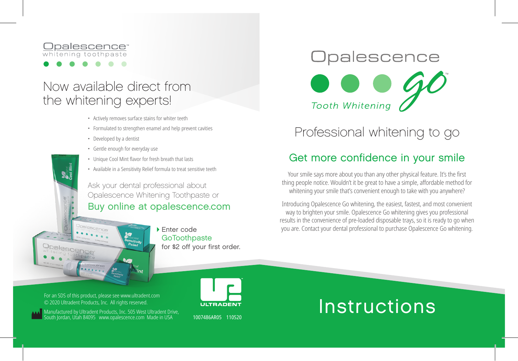#### palescence<sup>®</sup> whitening toothpaste

#### Now available direct from the whitening experts!

- Actively removes surface stains for whiter teeth
- Formulated to strengthen enamel and help prevent cavities
- Developed by a dentist
- Gentle enough for everyday use
- Unique Cool Mint flavor for fresh breath that lasts
- Available in a Sensitivity Relief formula to treat sensitive teeth

Ask your dental professional about Opalescence Whitening Toothpaste or

#### Buy online at opalescence.com

Enter code **GoToothpaste** for \$2 off your first order.

# Opalescence **Tooth Whitening**

Professional whitening to go

#### Get more confidence in your smile

Your smile says more about you than any other physical feature. It's the first thing people notice. Wouldn't it be great to have a simple, affordable method for whitening your smile that's convenient enough to take with you anywhere?

Introducing Opalescence Go whitening, the easiest, fastest, and most convenient way to brighten your smile. Opalescence Go whitening gives you professional results in the convenience of pre-loaded disposable trays, so it is ready to go when you are. Contact your dental professional to purchase Opalescence Go whitening.

© 2020 Ultradent Products, Inc. All rights reserved. For an SDS of this product, please see www.ultradent.com

Manufactured by Ultradent Products, Inc. 505 West Ultradent Drive, outh Jordan, Utah 84095 www.opalescence.com Made in USA



1007486AR05 110520

## **Instructions**